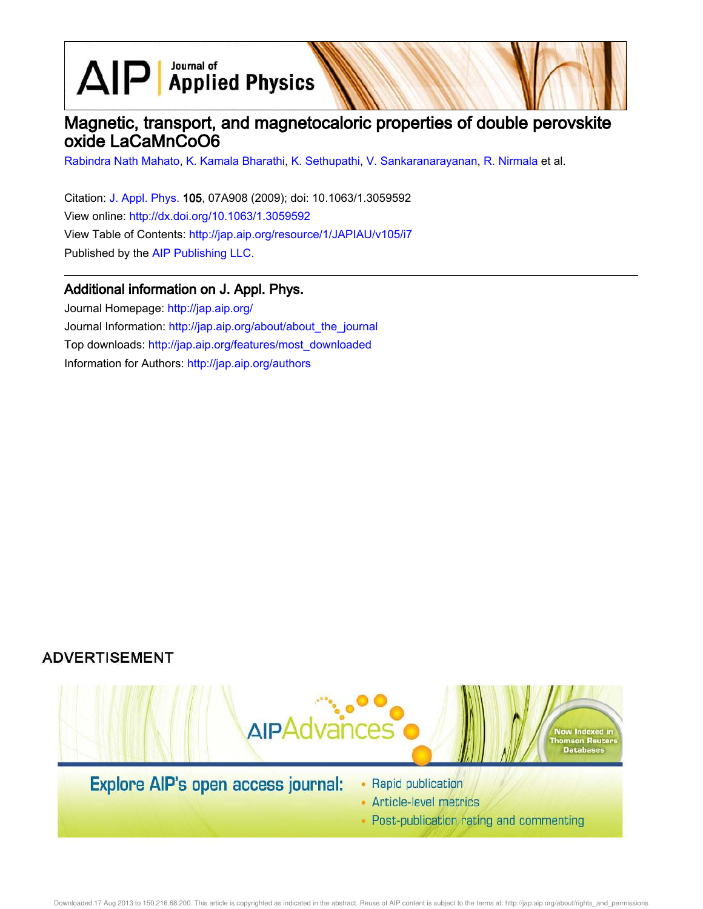$\text{AlP}$  Applied Physics

# Magnetic, transport, and magnetocaloric properties of double perovskite oxide LaCaMnCoO6

Rabindra Nath Mahato, K. Kamala Bharathi, K. Sethupathi, V. Sankaranarayanan, R. Nirmala et al.

Citation: J. Appl. Phys. 105, 07A908 (2009); doi: 10.1063/1.3059592 View online: http://dx.doi.org/10.1063/1.3059592 View Table of Contents: http://jap.aip.org/resource/1/JAPIAU/v105/i7 Published by the AIP Publishing LLC.

### Additional information on J. Appl. Phys.

Journal Homepage: http://jap.aip.org/ Journal Information: http://jap.aip.org/about/about\_the\_journal Top downloads: http://jap.aip.org/features/most\_downloaded Information for Authors: http://jap.aip.org/authors

## **ADVERTISEMENT**



• Post-publication rating and commenting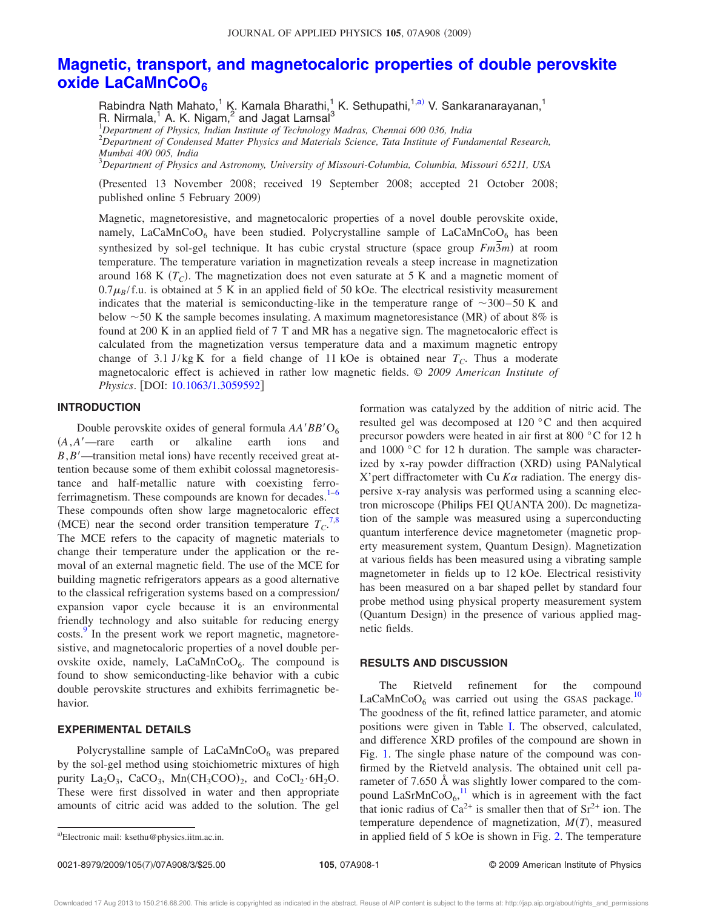### **Magnetic, transport, and magnetocaloric properties of double perovskite oxide LaCaMnCoO<sup>6</sup>**

Rabindra Nath Mahato,<sup>1</sup> K. Kamala Bharathi,<sup>1</sup> K. Sethupathi,<sup>1,a)</sup> V. Sankaranarayanan,<sup>1</sup> R. Nirmala,<sup>1</sup> A. K. Nigam,<sup>2</sup> and Jagat Lamsal<sup>3</sup>

<sup>1</sup>*Department of Physics, Indian Institute of Technology Madras, Chennai 600 036, India*

<sup>2</sup>*Department of Condensed Matter Physics and Materials Science, Tata Institute of Fundamental Research, Mumbai 400 005, India*

<sup>3</sup>*Department of Physics and Astronomy, University of Missouri-Columbia, Columbia, Missouri 65211, USA*

Presented 13 November 2008; received 19 September 2008; accepted 21 October 2008; published online 5 February 2009)

Magnetic, magnetoresistive, and magnetocaloric properties of a novel double perovskite oxide, namely, LaCaMnCoO<sub>6</sub> have been studied. Polycrystalline sample of LaCaMnCoO<sub>6</sub> has been synthesized by sol-gel technique. It has cubic crystal structure (space group  $Fm\overline{3}m$ ) at room temperature. The temperature variation in magnetization reveals a steep increase in magnetization around 168 K (T<sub>C</sub>). The magnetization does not even saturate at 5 K and a magnetic moment of  $0.7\mu_B$ /f.u. is obtained at 5 K in an applied field of 50 kOe. The electrical resistivity measurement indicates that the material is semiconducting-like in the temperature range of  $\sim$ 300–50 K and below  $\sim$  50 K the sample becomes insulating. A maximum magnetoresistance (MR) of about 8% is found at 200 K in an applied field of 7 T and MR has a negative sign. The magnetocaloric effect is calculated from the magnetization versus temperature data and a maximum magnetic entropy change of 3.1 J/kg K for a field change of 11 kOe is obtained near  $T_C$ . Thus a moderate magnetocaloric effect is achieved in rather low magnetic fields. © *2009 American Institute of Physics.* [DOI: 10.1063/1.3059592]

#### **INTRODUCTION**

Double perovskite oxides of general formula  $AA'BB'O_6$ *A*,*A*—rare earth or alkaline earth ions and  $B, B'$ —transition metal ions) have recently received great attention because some of them exhibit colossal magnetoresistance and half-metallic nature with coexisting ferroferrimagnetism. These compounds are known for decades. $1-6$ These compounds often show large magnetocaloric effect (MCE) near the second order transition temperature  $T_C$ .<sup>7,8</sup> The MCE refers to the capacity of magnetic materials to change their temperature under the application or the removal of an external magnetic field. The use of the MCE for building magnetic refrigerators appears as a good alternative to the classical refrigeration systems based on a compression/ expansion vapor cycle because it is an environmental friendly technology and also suitable for reducing energy costs.<sup>9</sup> In the present work we report magnetic, magnetoresistive, and magnetocaloric properties of a novel double perovskite oxide, namely, LaCaMnCoO<sub>6</sub>. The compound is found to show semiconducting-like behavior with a cubic double perovskite structures and exhibits ferrimagnetic behavior.

#### **EXPERIMENTAL DETAILS**

Polycrystalline sample of  $LaCaMnCoO<sub>6</sub>$  was prepared by the sol-gel method using stoichiometric mixtures of high purity  $La_2O_3$ ,  $CaCO_3$ ,  $Mn(CH_3COO)_2$ , and  $CoCl_2 \cdot 6H_2O$ . These were first dissolved in water and then appropriate amounts of citric acid was added to the solution. The gel formation was catalyzed by the addition of nitric acid. The resulted gel was decomposed at 120 °C and then acquired precursor powders were heated in air first at 800 °C for 12 h and 1000 °C for 12 h duration. The sample was characterized by x-ray powder diffraction (XRD) using PANalytical X'pert diffractometer with Cu  $K\alpha$  radiation. The energy dispersive x-ray analysis was performed using a scanning electron microscope (Philips FEI QUANTA 200). Dc magnetization of the sample was measured using a superconducting quantum interference device magnetometer (magnetic property measurement system, Quantum Design). Magnetization at various fields has been measured using a vibrating sample magnetometer in fields up to 12 kOe. Electrical resistivity has been measured on a bar shaped pellet by standard four probe method using physical property measurement system (Quantum Design) in the presence of various applied magnetic fields.

#### **RESULTS AND DISCUSSION**

The Rietveld refinement for the compound  $LaCaMnCoO<sub>6</sub>$  was carried out using the GSAS package.<sup>10</sup> The goodness of the fit, refined lattice parameter, and atomic positions were given in Table I. The observed, calculated, and difference XRD profiles of the compound are shown in Fig. 1. The single phase nature of the compound was confirmed by the Rietveld analysis. The obtained unit cell parameter of 7.650 Å was slightly lower compared to the compound  $\text{LaSrMnCoO}_6$ ,<sup>11</sup> which is in agreement with the fact that ionic radius of  $Ca^{2+}$  is smaller then that of  $Sr^{2+}$  ion. The temperature dependence of magnetization,  $M(T)$ , measured in applied field of  $5$  kOe is shown in Fig. 2. The temperature

Electronic mail: ksethu@physics.iitm.ac.in.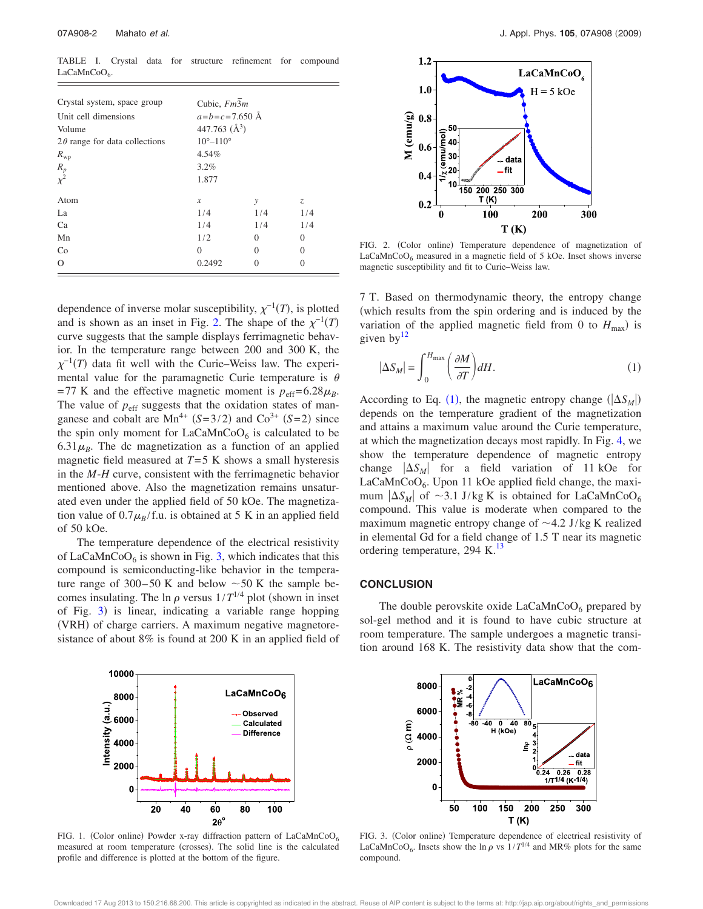TABLE I. Crystal data for structure refinement for compound LaCaMnCoO<sub>6</sub>.

| Crystal system, space group          | Cubic, Fm3m                |          |                   |
|--------------------------------------|----------------------------|----------|-------------------|
| Unit cell dimensions                 | $a = b = c = 7.650$ Å      |          |                   |
| Volume                               | 447.763 $(\AA^3)$          |          |                   |
| $2\theta$ range for data collections | $10^{\circ} - 110^{\circ}$ |          |                   |
| $R_{\rm WD}$                         | 4.54%                      |          |                   |
|                                      | 3.2%                       |          |                   |
| $R_p$<br>$\chi^2$                    | 1.877                      |          |                   |
| Atom                                 | $\boldsymbol{x}$           | у        | Z.                |
| La                                   | 1/4                        | 1/4      | 1/4               |
| Ca                                   | 1/4                        | 1/4      | 1/4               |
| Mn                                   | 1/2                        | $\Omega$ | $\Omega$          |
| Co                                   | $\Omega$                   | $\Omega$ | $\Omega$          |
| $\Omega$                             | 0.2492                     | 0        | $\mathbf{\Omega}$ |

dependence of inverse molar susceptibility,  $\chi^{-1}(T)$ , is plotted and is shown as an inset in Fig. 2. The shape of the  $\chi^{-1}(T)$ curve suggests that the sample displays ferrimagnetic behavior. In the temperature range between 200 and 300 K, the  $\chi^{-1}(T)$  data fit well with the Curie–Weiss law. The experimental value for the paramagnetic Curie temperature is  $\theta$ =77 K and the effective magnetic moment is  $p_{\text{eff}}$ =6.28 $\mu_B$ . The value of  $p_{\text{eff}}$  suggests that the oxidation states of manganese and cobalt are  $Mn^{4+}$  (*S*=3/2) and Co<sup>3+</sup> (*S*=2) since the spin only moment for  $LaCaMnCoO<sub>6</sub>$  is calculated to be  $6.31\mu$ <sub>B</sub>. The dc magnetization as a function of an applied magnetic field measured at *T*=5 K shows a small hysteresis in the *M*-*H* curve, consistent with the ferrimagnetic behavior mentioned above. Also the magnetization remains unsaturated even under the applied field of 50 kOe. The magnetization value of  $0.7\mu_B$ /f.u. is obtained at 5 K in an applied field of 50 kOe.

The temperature dependence of the electrical resistivity of LaCaMnCo $O_6$  is shown in Fig. 3, which indicates that this compound is semiconducting-like behavior in the temperature range of 300–50 K and below  $\sim$  50 K the sample becomes insulating. The ln  $\rho$  versus  $1/T^{1/4}$  plot (shown in inset of Fig. 3) is linear, indicating a variable range hopping (VRH) of charge carriers. A maximum negative magnetoresistance of about 8% is found at 200 K in an applied field of





FIG. 2. (Color online) Temperature dependence of magnetization of LaCaMnCoO $_6$  measured in a magnetic field of 5 kOe. Inset shows inverse magnetic susceptibility and fit to Curie–Weiss law.

7 T. Based on thermodynamic theory, the entropy change which results from the spin ordering and is induced by the variation of the applied magnetic field from 0 to  $H_{\text{max}}$ ) is given by $12$ 

$$
|\Delta S_M| = \int_0^{H_{\text{max}}} \left(\frac{\partial M}{\partial T}\right) dH.
$$
 (1)

According to Eq. (1), the magnetic entropy change  $(|\Delta S_M|)$ depends on the temperature gradient of the magnetization and attains a maximum value around the Curie temperature, at which the magnetization decays most rapidly. In Fig. 4, we show the temperature dependence of magnetic entropy change  $|\Delta S_M|$  for a field variation of 11 kOe for LaCaMnCoO<sub>6</sub>. Upon 11 kOe applied field change, the maximum  $|\Delta S_M|$  of  $\sim$ 3.1 J/kg K is obtained for LaCaMnCoO<sub>6</sub> compound. This value is moderate when compared to the maximum magnetic entropy change of  $\sim$  4.2 J/kg K realized in elemental Gd for a field change of 1.5 T near its magnetic ordering temperature, 294 K.<sup>13</sup>

#### **CONCLUSION**

The double perovskite oxide  $LaCaMnCoO<sub>6</sub>$  prepared by sol-gel method and it is found to have cubic structure at room temperature. The sample undergoes a magnetic transition around 168 K. The resistivity data show that the com-



FIG. 1. (Color online) Powder x-ray diffraction pattern of  $LaCaMnCoO<sub>6</sub>$ measured at room temperature (crosses). The solid line is the calculated profile and difference is plotted at the bottom of the figure.



FIG. 3. (Color online) Temperature dependence of electrical resistivity of LaCaMnCoO<sub>6</sub>. Insets show the ln  $\rho$  vs  $1/T^{1/4}$  and MR% plots for the same compound.

Downloaded 17 Aug 2013 to 150.216.68.200. This article is copyrighted as indicated in the abstract. Reuse of AIP content is subject to the terms at: http://jap.aip.org/about/rights\_and\_permissions